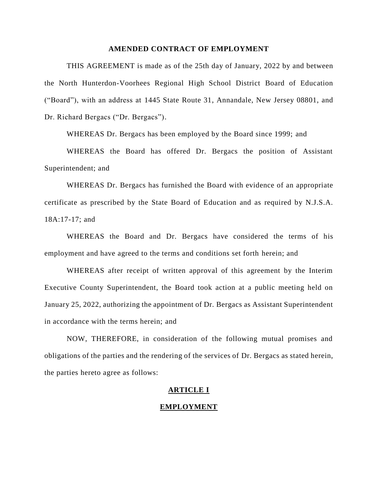# **AMENDED CONTRACT OF EMPLOYMENT**

THIS AGREEMENT is made as of the 25th day of January, 2022 by and between the North Hunterdon-Voorhees Regional High School District Board of Education ("Board"), with an address at 1445 State Route 31, Annandale, New Jersey 08801, and Dr. Richard Bergacs ("Dr. Bergacs").

WHEREAS Dr. Bergacs has been employed by the Board since 1999; and

WHEREAS the Board has offered Dr. Bergacs the position of Assistant Superintendent; and

WHEREAS Dr. Bergacs has furnished the Board with evidence of an appropriate certificate as prescribed by the State Board of Education and as required by N.J.S.A. 18A:17-17; and

WHEREAS the Board and Dr. Bergacs have considered the terms of his employment and have agreed to the terms and conditions set forth herein; and

WHEREAS after receipt of written approval of this agreement by the Interim Executive County Superintendent, the Board took action at a public meeting held on January 25, 2022, authorizing the appointment of Dr. Bergacs as Assistant Superintendent in accordance with the terms herein; and

NOW, THEREFORE, in consideration of the following mutual promises and obligations of the parties and the rendering of the services of Dr. Bergacs as stated herein, the parties hereto agree as follows:

# **ARTICLE I**

# **EMPLOYMENT**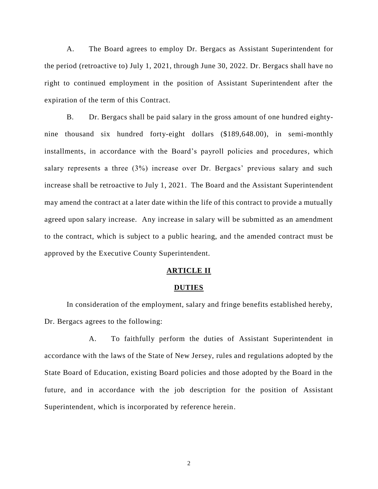A. The Board agrees to employ Dr. Bergacs as Assistant Superintendent for the period (retroactive to) July 1, 2021, through June 30, 2022. Dr. Bergacs shall have no right to continued employment in the position of Assistant Superintendent after the expiration of the term of this Contract.

B. Dr. Bergacs shall be paid salary in the gross amount of one hundred eightynine thousand six hundred forty-eight dollars (\$189,648.00), in semi-monthly installments, in accordance with the Board's payroll policies and procedures, which salary represents a three (3%) increase over Dr. Bergacs' previous salary and such increase shall be retroactive to July 1, 2021. The Board and the Assistant Superintendent may amend the contract at a later date within the life of this contract to provide a mutually agreed upon salary increase. Any increase in salary will be submitted as an amendment to the contract, which is subject to a public hearing, and the amended contract must be approved by the Executive County Superintendent.

## **ARTICLE II**

#### **DUTIES**

In consideration of the employment, salary and fringe benefits established hereby, Dr. Bergacs agrees to the following:

A. To faithfully perform the duties of Assistant Superintendent in accordance with the laws of the State of New Jersey, rules and regulations adopted by the State Board of Education, existing Board policies and those adopted by the Board in the future, and in accordance with the job description for the position of Assistant Superintendent, which is incorporated by reference herein.

2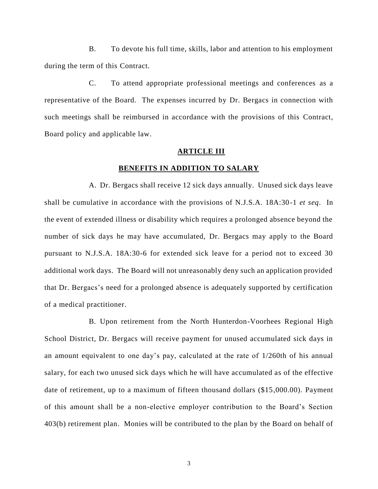B. To devote his full time, skills, labor and attention to his employment during the term of this Contract.

C. To attend appropriate professional meetings and conferences as a representative of the Board. The expenses incurred by Dr. Bergacs in connection with such meetings shall be reimbursed in accordance with the provisions of this Contract, Board policy and applicable law.

#### **ARTICLE III**

### **BENEFITS IN ADDITION TO SALARY**

A. Dr. Bergacs shall receive 12 sick days annually. Unused sick days leave shall be cumulative in accordance with the provisions of N.J.S.A. 18A:30-1 *et seq*. In the event of extended illness or disability which requires a prolonged absence beyond the number of sick days he may have accumulated, Dr. Bergacs may apply to the Board pursuant to N.J.S.A. 18A:30-6 for extended sick leave for a period not to exceed 30 additional work days. The Board will not unreasonably deny such an application provided that Dr. Bergacs's need for a prolonged absence is adequately supported by certification of a medical practitioner.

B. Upon retirement from the North Hunterdon-Voorhees Regional High School District, Dr. Bergacs will receive payment for unused accumulated sick days in an amount equivalent to one day's pay, calculated at the rate of 1/260th of his annual salary, for each two unused sick days which he will have accumulated as of the effective date of retirement, up to a maximum of fifteen thousand dollars (\$15,000.00). Payment of this amount shall be a non-elective employer contribution to the Board's Section 403(b) retirement plan. Monies will be contributed to the plan by the Board on behalf of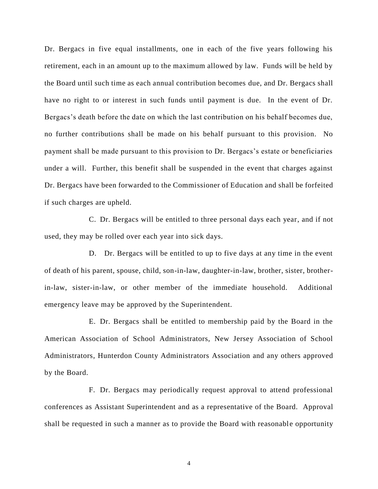Dr. Bergacs in five equal installments, one in each of the five years following his retirement, each in an amount up to the maximum allowed by law. Funds will be held by the Board until such time as each annual contribution becomes due, and Dr. Bergacs shall have no right to or interest in such funds until payment is due. In the event of Dr. Bergacs's death before the date on which the last contribution on his behalf becomes due, no further contributions shall be made on his behalf pursuant to this provision. No payment shall be made pursuant to this provision to Dr. Bergacs's estate or beneficiaries under a will. Further, this benefit shall be suspended in the event that charges against Dr. Bergacs have been forwarded to the Commissioner of Education and shall be forfeited if such charges are upheld.

C. Dr. Bergacs will be entitled to three personal days each year, and if not used, they may be rolled over each year into sick days.

D. Dr. Bergacs will be entitled to up to five days at any time in the event of death of his parent, spouse, child, son-in-law, daughter-in-law, brother, sister, brotherin-law, sister-in-law, or other member of the immediate household. Additional emergency leave may be approved by the Superintendent.

E. Dr. Bergacs shall be entitled to membership paid by the Board in the American Association of School Administrators, New Jersey Association of School Administrators, Hunterdon County Administrators Association and any others approved by the Board.

F. Dr. Bergacs may periodically request approval to attend professional conferences as Assistant Superintendent and as a representative of the Board. Approval shall be requested in such a manner as to provide the Board with reasonable opportunity

4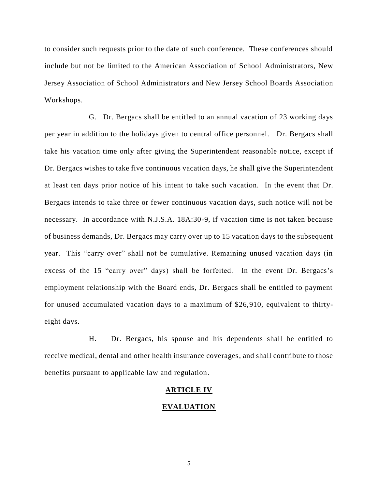to consider such requests prior to the date of such conference. These conferences should include but not be limited to the American Association of School Administrators, New Jersey Association of School Administrators and New Jersey School Boards Association Workshops.

G. Dr. Bergacs shall be entitled to an annual vacation of 23 working days per year in addition to the holidays given to central office personnel. Dr. Bergacs shall take his vacation time only after giving the Superintendent reasonable notice, except if Dr. Bergacs wishes to take five continuous vacation days, he shall give the Superintendent at least ten days prior notice of his intent to take such vacation. In the event that Dr. Bergacs intends to take three or fewer continuous vacation days, such notice will not be necessary. In accordance with N.J.S.A. 18A:30-9, if vacation time is not taken because of business demands, Dr. Bergacs may carry over up to 15 vacation days to the subsequent year. This "carry over" shall not be cumulative. Remaining unused vacation days (in excess of the 15 "carry over" days) shall be forfeited. In the event Dr. Bergacs's employment relationship with the Board ends, Dr. Bergacs shall be entitled to payment for unused accumulated vacation days to a maximum of \$26,910, equivalent to thirtyeight days.

H. Dr. Bergacs, his spouse and his dependents shall be entitled to receive medical, dental and other health insurance coverages, and shall contribute to those benefits pursuant to applicable law and regulation.

## **ARTICLE IV**

# **EVALUATION**

5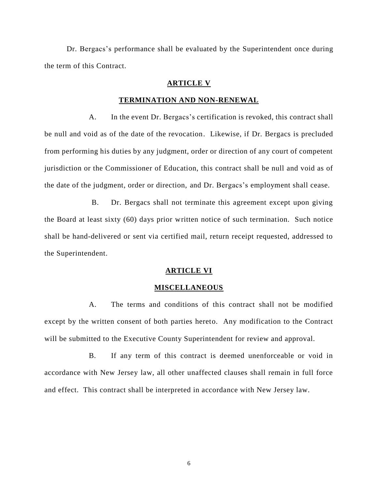Dr. Bergacs's performance shall be evaluated by the Superintendent once during the term of this Contract.

# **ARTICLE V**

## **TERMINATION AND NON-RENEWAL**

A. In the event Dr. Bergacs's certification is revoked, this contract shall be null and void as of the date of the revocation. Likewise, if Dr. Bergacs is precluded from performing his duties by any judgment, order or direction of any court of competent jurisdiction or the Commissioner of Education, this contract shall be null and void as of the date of the judgment, order or direction, and Dr. Bergacs's employment shall cease.

B. Dr. Bergacs shall not terminate this agreement except upon giving the Board at least sixty (60) days prior written notice of such termination. Such notice shall be hand-delivered or sent via certified mail, return receipt requested, addressed to the Superintendent.

### **ARTICLE VI**

## **MISCELLANEOUS**

A. The terms and conditions of this contract shall not be modified except by the written consent of both parties hereto. Any modification to the Contract will be submitted to the Executive County Superintendent for review and approval.

B. If any term of this contract is deemed unenforceable or void in accordance with New Jersey law, all other unaffected clauses shall remain in full force and effect. This contract shall be interpreted in accordance with New Jersey law.